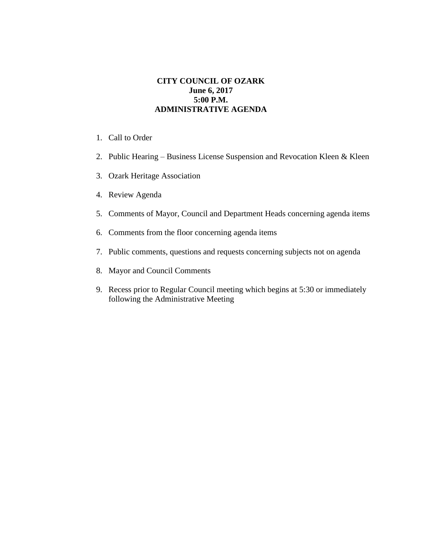## **CITY COUNCIL OF OZARK June 6, 2017 5:00 P.M. ADMINISTRATIVE AGENDA**

- 1. Call to Order
- 2. Public Hearing Business License Suspension and Revocation Kleen & Kleen
- 3. Ozark Heritage Association
- 4. Review Agenda
- 5. Comments of Mayor, Council and Department Heads concerning agenda items
- 6. Comments from the floor concerning agenda items
- 7. Public comments, questions and requests concerning subjects not on agenda
- 8. Mayor and Council Comments
- 9. Recess prior to Regular Council meeting which begins at 5:30 or immediately following the Administrative Meeting